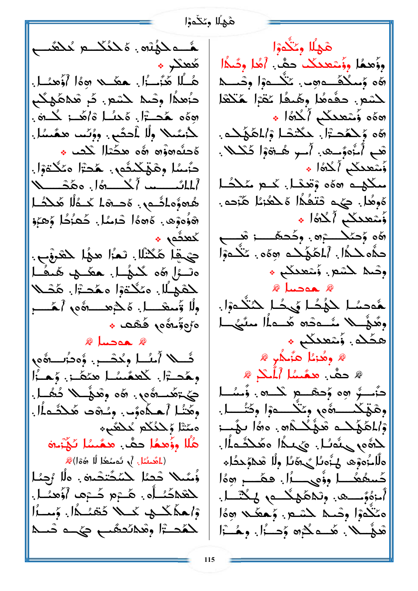هُـــه لِمَهْنَهُ . هَ لِمَلْكُـــهِ كُلْهُـــمِ مُعْكَبِ \* هُـُلَا هُذُــزًا. هفَــد وهُا أَوْهنُــلَ. دُهِدًا وصْهِ حَسْمٍ. کَرِ هُدَهَدِکُم هؤه هُجِسْرًا. هُجِسًا وْاهْدَ كُجْرَة. لْأَمَّىلا وِلَا ـُاحتَى ِ. ووُنَّى مَعَّىمًا ِ. هُجِنُه وَوْو وهُو هِجُبْلا كُجْمِي ﴾ دَّنِسُا ومْوَكْدُورٍ. هُجْرًا وكُكْتَوْلَ هُهوَّهادُه، هَدشَا كَـهُلَّا هَٰلاَدُـا هْؤُهْوَهِ. هُهِهُ/ شَرْسُلْ. خَعْزُهُ/ وُهِبُوْ كعثُم \* حَيْجَا هَكْتْلَا. تَمْرَا مَحْمًا كَعْرَفْبٍ. ەتىئل ھە گىھُـل. ھھَــبى ھَىھُـل لحقمٍـلًا. مَكْتَوْا مِمَّدَّا. هَدَلا ولُا وَّمكْمِ لِ هَكْرِهِ \_\_وَّهِ أَهْــــرِ ەزەۋمۇم قىقمە \* 2 Lugar 2 ِ ثَـــــلا أَعبُـــل وحُدّْـــــر. وُهدَٰنِــــرهُهر وهَدِيْلَ. ݣَحْدَمُسُلْ هِنْݣُـز. وُهِـزَّا ضَ تَصْدِفُهِ. 6ه وقديَّـــه دُهُـــا. وِهۡتُـٰا ٱ هـكُووَى . وِـُـوۡتَ صَلَائُـٰہِ)ْلِ ەمئنا ۇللگلا ئىلگىر. هُلَّا وِوُهِمُا حقَّ. همُسُا نَيْزَ فَ (لمُعْتَبَاً. } ثَمَنُعُا لَٰا ‰ہ)﴿ .<br>وُسَّىلا خَصْل لِمُتَحَتَّصَةٍ . وَلَّا رُجِئًـا لِكَعْلَاحُسُـأُه . هُــْرَم كَــْرَم ٱوۡهنُــا . وْاهِكُكْسِ كَسْلًا تَتْقَسُّدًا. وَسَسَأَلَ لحَمَد ـ ٓ; ﴿ وَهُدَانَحفَّبٍ حَيْ \_ هَ حَسَدَ

هْجُلًا وكْخْوْل وِؤُهِمًا وِؤُسْعِدِكُمْ حَقٍّ. أَهُا وِثَيْدًا هُه وُسِكْفُ٥مِ . يَنْكُمُوا وصْـِـدْ لحشع. حفَّمعُدا وهَمعُه عَقْدٍا حَتَّكَمُدا ٥٥٥ ۈشمىكىم أىكە ا هُه وُحْمُحَـٰٓٓٓٓا ۖ. حَكْثَحْـا وۡاٰلمَّهُحْـهِ . هُم أُمُّووَّىه. أُمر هُـوْوا كَتْلا . وُسْعِدِكُم أَكْمُا \* سكلهــه ‰ه وْتَعْدَا. كَــْمْ سَكْحُـا هُوهُا. حيْء ثَتَفُكُما هُكْعُزِيْا هُزْجِهِ. وُسْعِدِكُم أَكْمُوا \* 00 وُحَكَمْـــــْ مِنْ وَحُحكَمَــــــز مْرِــــــع حِمُّوحِكُمَا. ٱلمَّجَحْدِ وَوَوْ. كَتْحَوْا وِصْهِ لَمْشَعْرٍ. وَصْعِدَكَمٍ \* A Ludar A هُوصُل حَوُّحُـا يُحكُـلِ حَنَّحُوڤُلِ. وهُؤْسِـلًا مُنْـودُه هُــواٰ! مسْيُــا هكُدْ، وُسْعِدْكُم \* ه وهُنا هُنگُم ه ه حفّ معُسْل أَلَمْكُمْ **\*** جَنْسِيٌّ وَهُ وَحَقْسِهِ كُلْسُونَ وُسُسَلَّ وهْهْكْــــڤُومْ وِتْخْـــوْا وِتْـُـــا. وْالْمَوْكُدْ مْدْيُكْدُرُهِ . هِ هَا بِيَمْسِز . الْمَكْمُهُ الْمُعرِّهِ . لِنْمْعُرِ وَهُمُ هِ ٱلْمُوْهِ ﴾ وَمُلَّى يُوْمَلُ وَلَا شَكْوَجْدُا ﴾ حُسِعُعُـــا وؤُي بِـــرًا. هِمَّــــرِ وَهُ أُخْوَٰدُ ِـــدَى. وِلَـٰاهَا جُمْلَــدَى جُـكْـَــا. هَنْكُمْوْا وِصْهُ لِمْسْعَرٍ. وُحْكَمَهُ هِهُا تَعَذَّبُ لَا . مَحْسَمَهُمْ وَحِسَرًا . وهُسْرًا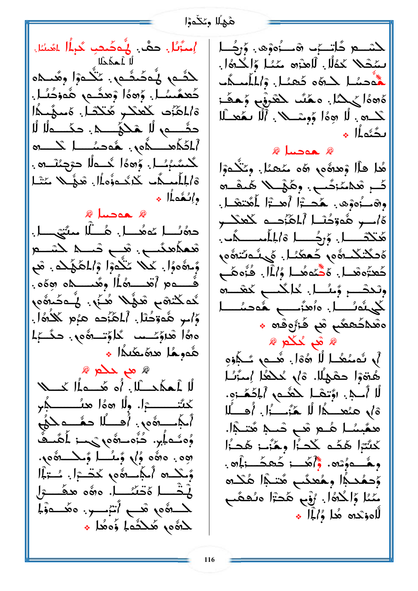هْهِلَا وِعْنُووْا

إِسْتَرْبَا. حقَّ. فيُوصِّحبِ كَبِلًا لِمَّسْنَا. للَّكْمِهَا الْ لحدُّم لقُوحُمدُه بِمَتَّحْمَوا وهُنكو كَعفَسُــا. وُههُا وْهدُّـــم هُـودُــُــا. ة/لمَّنُّ لَاعْلَامِ هَٰذَٰهَا. هَٰمَهُمَاْ أَلْمَكْاهِـــدُهِ, هُـُمَحِسُـــا كَــــــرَه لْكَسُبُنُــا. وُ30ا كُـــولًا حرَّجِئْنَـــ3. ة/بالمُســكُ لـكلانُــهِ وَمال هُوَيَــلا مَتْـا وإيُغُدِماُ \* 2 Lusca 2 دەنسا ئەھْسا. ھُسْلَا مىنتىسا. تَعَمَّاهُشَبٍ. ثَبِي تَسَبِّهِ كَسْبَ هِمْ الْمُسْتَمَرَ وَّمِتَّةَوْلَ كَلا تَكْفُوا وْالْمَّهَكَ . هُم فُــــه مْ أَتَعــــــــهُ أَا وِتُعـــــــــه وَوَى. مُەڭتەم ھۇلا ھُنَ، ئىمكىۋە وَّٰ اس هُوَدُنَا. ٱلمَّنَود هزم للأهُا. ەھْ ھْدۇسْــى گاۋتــىۋەب. ھگىزلە هُدوهُا هيهُمشكَا \* a a cha لَا أَعِكْمَحِسَالَ أَه هُــواُ كَـــلا أَكِمُــــوَهُ ، إِنْ كُمُّــ هَـــــــه حَكْيُ وُهشَهلُم سَرِرٌ وهُندهُ ثُمَّ أُبَعْدَهُ وَ 1999 - 1999 مِنْ الْمُسْلِمُ وَمِنْكُسِمْ وَمِنْ الْمُؤْمَنَ وُكْتُ أَيَكْسُوهُم كُتّْرًا. يُـتَهْلُ لْمُقْطِ هُدَمُّـطٌ. هُوُهِ هِدَّمَــوْلِ كِمْ هُبِ أُنْتُرِكِي وَهُدَوْءِ لِمَوْهِ وَلَحَقْفَا وَوَهُا ﴾

للشبع دُلتيْت ھُـــُووْھ. وُرِجُــا بِسَّحْلاً كَمُلًا. لَاهْزَو مِّمْا وَالْحَدَّةُ . هُّدْمِسُل حَدَّةٌ وَصَّلَىٰ وَالْمُعَبَّدِ ةُ10\$ حِكْمًا. مِمَّنَس لِمَتْعِرْفِهِمْ وَحِدَّةِ كِتْهِ فِي الْمَرْدِمْ وَمِنْدِينَ إِلَّا تَعْمَلُنَا ىڭئەلم » lusea. هُا قاْلَ وْهِدْهُمِ هُو مُحْمَّا. وِمُتَّحْوَلُ كُمْ هُلْمُمْرْكُمْ، وَهُؤْسِلًا هُدَفٌ وَ ورڤ وُوهي. هَجِيرًا أُهيرًا لِّمُعْتَقَالَ. ة/سو هُووُسْل ٱلمَّرْصو كَعكب رەۋىتەشرە بالىقىم رەۋىكىتكە كَعتُوهْما. هَفّْهُمُما وُٱلْمَا. فُنُوهَب وتَحْشَـــز وُلْمَـــل: كَالْمُنْـــن كَعْنَـــده كَحِبَثُه تُسْطِي وَاُهْتُوْسِطٍ حَقَّوْصِفُ الْمَسْرِ ه هُدَهُ هُمْ هُوَ وَهُو هُ وَمُحَمَّد  $\circledR$   $\circledR$   $\circledR$ لْمَ نُعْمَعُكُمْ لَا هُوْاً. هُـــْمَمْ شُــْجُوْهِ هُوْوَا حقهاًا. 16 مُحْمَّا إِسْرَٰنَا لًا أَسِجْ. اوَّتِهْا حْقُـمٍ ٱلْمُكَـزِهِ. ة) منصلاًا لَا هُنْـــزًا. أُهـــُلا همُبسُـا هُــم هَــم حْـــهٖ هُتــهْلِ. كَنُتْرًا هُدًا كَدْ: وَهَّنْدْ هُدْ: وهُـــوُدْهِ. ﴿أَهَٰـــزِ جَعِجَــزِبْهِمِ. وَحِمُدِجًا وِحُمِيْمٍ مُتَبَّا هُدُهِ بِنَىٰٓا وَٱلۡدَٰهَۚا. ۚ رُوۡىٖ هَٰٓحَۃًا منۡعَمَـٰـعِ لْأَدْفِيْدِينَ هُدَا وُإِيْلَ \*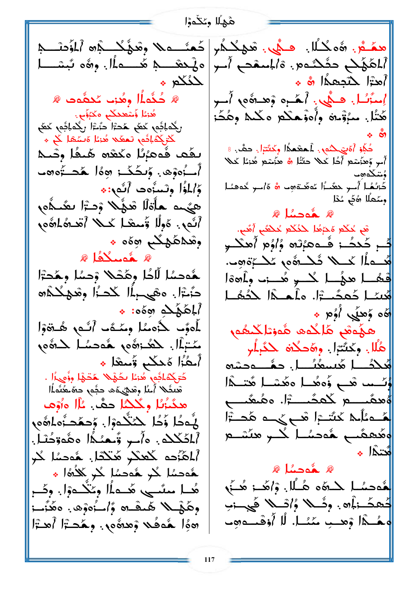هْمِلًا وكْذُورًا

همُتْع. ةُهكُلاً. فَيْ يَحْمِكُمُوا كَعِنْــهِ لا وِتْعَهُّكْــبْهِ ٱلْمُؤْمِنْـــهِ ٱلمَّهَٰكُمْ حَثَّكُوهِ. ةَالمِسْقَصِ أُسِرٍ | هَيُحَقَّـــهِ هَــــواًا. وِهُو بُسْـــا لملكع \* ® حُذُه أُل وهُن، مُدهُّده ® هُزئا وُسْعَدِكُم مَكْبُوَٰمٍ. بَعْدَ رَجَّا فَيْتَ أَتَدَّا أَرْحَادُ بِكُمَائِهِمْ كَعَمَ كَتْرَكْتُهَاخُمْ تَمْعَكَدْ هُدْيًا ةَسْتَهَا كُلّْ مْ يعُف فُومَ؛نُا وكَعْدُه هُيفًا وتَحِيط أَسْرُهِوْمِ . وَيَحْكُمْ وَهُ أَحْمَدْ وَهُ مَنْ وَيَ وُٱلْمَوْۤا وِيْسَنُوْهِ ٱلثَّمِنِ ﴾ هِيَمِهِ حَأْمَالًا شَؤْيَلًا وَمِـتَرَا بِعُمِـدُّهِ، أَنُهِ . هُولًا وُسِعْدا كَبِيلا أَمْدِهُاهُومِ وثَعَكُمْكُمْ وَهُوَ \* R LOLLOL R هُدمسُا لَاحُا وِهُثَىٰا وْحِسًا وِهُدْاً دَّنْتَلْ. وهْيَجِبْلَا كُحِبَّا وْتْعِيْكُمْ و لَمَوْمَد لِمُؤْوِيلًا وَسُلَّفَ أَنَّفَعَ هُـ ثَوْوْا مَتِبْلًا. حَعَدُوهُ مُوصِدًا حَدَّوهِ أَحَدُٰٓا هَٰحَكُم وَّسِعْلَ ﴾ دَّتِكَهُلَّهُمْ هُنَا بَكَهْلا هَدَهْا وَوُّى أَل هُنفُلا أَمْلًا وِهْدُنِيهُ هِ دَجُمٍ ۚ دَهَٰعَفُمُاْ ا \_ هدَّىُ;ُ*نَا* وِ كَلاَمًا حَتَّى. عُلَّا هَأَوْهَ لِمُعطُ وَّحًا ۖ حَمَّدُهِۚ ۖ وَحِمَّحَـ زُّمَارُهُ مِ ٱلمَكْلَدُ. ٥أُﺳﺮ وُّﯩﻤﯩُﺪُﺍ ﻩﻫُﻪﻭْﺣُﻨَـٰﻟ. ٱلمَّذَٰده كَعنْدِ مُتَكْتَا. هُءَدسًا كُر هُّەحسًا خُرِ هُەحسًا خُرِ ݣُلُهُ! ﴾ هُــا مِنْسَىٰ هُــواْا وِيَتَكُووْا. وِكَــر وهَٰۿٞٮ؇ هُمڤ۩ وٞٳۥ؎ۢ۫ۄٛۅ؞ؚ؞ۄۿڋؙٮڹ 1961 هُدفُمْ وْهِدْهُمْ. وهُدَرًّا أَهْدُّا

أمترا حتدهكا أو \* إمْرَامًا. فَتَحْلَّى. أَهْبُوه وْهَدْهُمْ أُسْرِ هَٰتُا. مُبۡوَّمِينَ وِٱوۡوَٰهِكُم وَكَٰلِهِ وَهُكُمۡ دُبُو أَهْتِيكُمْ. أَحْقَقْمُ وَحَتَّتِهِ. 3. 8 أَسِ وَهَذَهُمْ أَجًا كُلُّ حَتَّا هُ هَذَهُمْ هُزَمًا كَلُّ ۇشكەرەت ثَّابُهُا أَسر همَّسُّا مُمَّتّة و آهُ 16سر تُدهمُا وسِّعلًا هُنِّي َخْلَ A Lisai قَعِ يُكُمْ مُجَمُّدَ لَحُكُمْ يُحْقَى أُهُمْ. فٌ ۖ وَ حُدَكُ: فَــه\$بْلَاه وُۢاوُم أُهدَلــوِ قُصْدَاً كَمِيلًا ثَكْشُوهِ كَكْبَةِهِمْ. فْشُــا ههْــا كْـــو هُـــزم وِلْمِدْا فْتِصًا خَعْصُــْٓةَا. وأَحَــدًّا لِكَمُــا  $\bullet$   $\bullet$   $\bullet$   $\bullet$   $\bullet$   $\bullet$   $\bullet$   $\bullet$ هَهُوش هَالْمُعَه هُوْتَالْمُنْعُمْ هُلَا. وِكْتُتِرَا. وِهُحِكْفَ حَكَبِكُمِ وْتَــْــْ هْـــع وُّەھُـــا ەھُـسْــا هُـْـــدَّا أوهقم المحمدة والمعقب اَتَّــمهُ صَــرٌ حَـــةُ ابْــَتْنَدْ مَــاْنُصَــةُ ا وهُهمَّب هُوصُلا كُلْرِ هلَّشْلُو هُتندا \* R Lisca R هُوصِمُا لِحِيهُو هُـُلا. وْاهُــز هُــزَى كُمْدَٰۃٍ بْهُ». وِثَـــلا وُُٖاتَـــلا فَيٰہِـــزبِ وْهُــدًا وْهَــبِ مَمْــا. لَا أُوْقَـــدْهِــ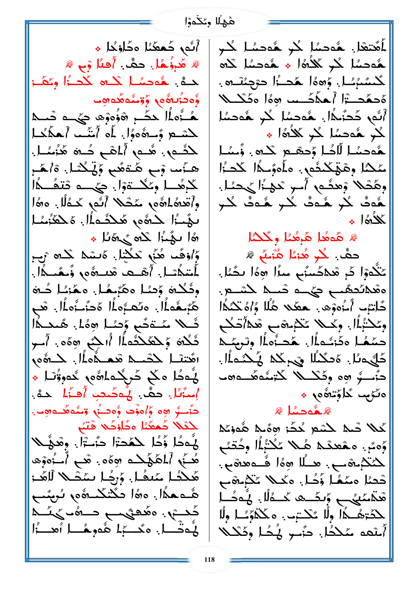هْهْلَا وِكْذُوْا

أَنَّهِ كَعَفَنُا هَكَاوَىُكَا \* ® هُروُهُا. حقٌّ. أَقتُل وْمِ ® حدُّ. هُوصيُما كَده كَصَرًّا ومُؤَمَّرَ ؤەداللەھى ۆقىگەھەم هُـزُّه)َ لاحَـُـزٍ هُؤُهوْها حَيْبِـهِ حْسَـدً للشعر وُسعُوواً. لَمَا أَشَبِ أَهْلَامًا لمَثْـه. هُــه أَلمقَــم كُــه هَٰنُسُـل. هنِّس وْبِ هَـٰةهُـٰبِ وَلِّكْتَـا. ةَاهْـٰرِ كْرِهُــا وكُـْــةوْا. ۞ \_\_\_ دْتْفُــدًا وأقدهُ اهْمِ مَحْمًا أَنُم كَـهُلًا. هِ هَا ىئْمَىُّا ۞ھُو، هُكْتُماْلِ. ەَكْتُنْمُا ه الأفتر مكّ الْمَهْ اه وَإِوْقُ هُنَّهِ تَمَكَّتِهِا. ەَىـَشَكَ كَـْدَهِ رُنِــز لمُتكْتَبِلِ أَهْبِ هُدْهُ وَيُسْكُلِ وِثَكْ۞ وِّئلا ەھۡبُـھُـا. ەھۡنْـا خُـ۞ هُبُعُماًا. مَنْعَبُوماًا هُحَبَّـنُّوماًا. هَـع ئَــلا مَــٰقَصَّـ وَدـُـا هِمَا. هُـنــدًا ثَكْلَهُ وَكَطَكُتُمَاْ أَاكِبُهِ وَهُوءٍ. أَسر رەُدىتىلە ككىمە ھەھىدە ئار. كىيۇە هُءكُل مَكْمٍ كُمِيكُماهُومٍ ۖ مُدووُّنَا ۚ \* إِسْتَطَاءِ حَقٍّ، إِنْ صَحْبِ أَهِنَّهَا الحَقْ. جَنُّبَ وَ وَإِيْهَا وَوَجَبَ وَمَثَوَّبَ وَمُتَوَهَّدٍ وَمِنْدَهِ لحكلا كمعكنا وكاؤكد قتئع لِهَءهُا وَٰحًا لِحَمَّحَۃًا حَنَّةًا. وِهْدُ ا هُــَٰٓىٖ ٱلۡاَهۡكُـدُهُ هِهُهٖ ۚ. قَبۡ اُــَّۂُوٰٓهِ ﴾ هَٰٓدۡكُـا مِّىٰفًا. وۡرَٰكِـا سَنۡدَــٰا لَاهَٰـۃ هُـههُاْ. وهَٰا تَكْتُكُـهُوم نُومُب لمُعفْسا. مكَّبَا هُموهُا أهــأُا

لَمُحْتَمْلَ. هُـْحَسُلِ كُـرِ هُـْحَسُـل كُـرِ هُوصمُا كُلِّ كَلاُهُ! ۞ هُوصمُا كَلاه لَكْسُبُرُسًا. وَ16% هُجِبُوا حَوْجِئْتُـ9. هُجِعْجِيءٌ أَعْمَلَكَــبِ 160 هَنْكُــا أَنَّهِ كَحَبَّكُمْلٍ. هُوجِسُل كُلِّي هُوجِسُل لْخُو هُءَهِمًا لَحْوِ لَلأَهُ! \* هُوَحِسًا لَّاحُـا وُحِمَّــع كَــٰهِ . وُسُــا مَكْمًا وِهْوَكْدُهِ. مِلْمَوِّسْمًا كَحَزَّا وهَٰحْلا وْهِدُّهِ، أُسو تَحْهَ أَلْكَحْمًا. هُدتُ لَكِ هُـٰدتُ لَكـٰرٍ هُـٰدتُ لَكـٰرٍ **ASS 3** ه هَمعُدا هُبِعُنا وِكُلْمَا حفٌّ. كُمْ هُزْمًا هُزْمَعٌ ﴿ كَنْدَوْا ثُمْ هُدْشُسْتُمْ مِدًا هِءًا بِشَالَ. ەھْكلىقىسى كۆپ ئىسكە كشىم. دَّاتَبْ أَمْرُوڤِ. هفَلا هُاْا وُاهْ تَكْلُّا وكثَبُلًا. وكملا تكبش شماًتكم حمّمُا ودِّئُـولًا. هُدَّوْهَا وِتَرِجُــدَ خَالْمِسْكُمْ مْكَمِنْ الْمُكْمَة . لَمْعَيْكَ. دُّىسۇ ھە وكْكىلا كىتىئەھْسەھ |ەتزىب ئداۋتتە 2 Lisca P كَمِلًا شَمَا لَحْشَمِ كُتُّ: ﴿ وَمُمَا هُوَنِكُمْ وُهمٌ. مقعقد هُلا عَكْبُواْ وِحُقْبَ لْمُتَكَبِّدَةُ فِي اللَّهُ الْمَوْءُ الصَّـْدَدَةُ فَ عَلَيْهِمْ مِنْ الْمَرْضَو تَحْمَلُ مَمْعُلُمْ وَّكُلْ. مَكْلًا كَلَبْنُوْسَمْ هْدَمْنُهُا وَإِنَّكَ هُــٰهُ/ْ. هُـُمَـٰـٰ ا َكْتَرْهُكُمَّا وِلَّا مُكْتَرِّبٍ. مَكْذَوِّسًا وِلَّا أَسْعِم سُلاحُل. حَنْبِ يُحُلُّ وكَنْلِلا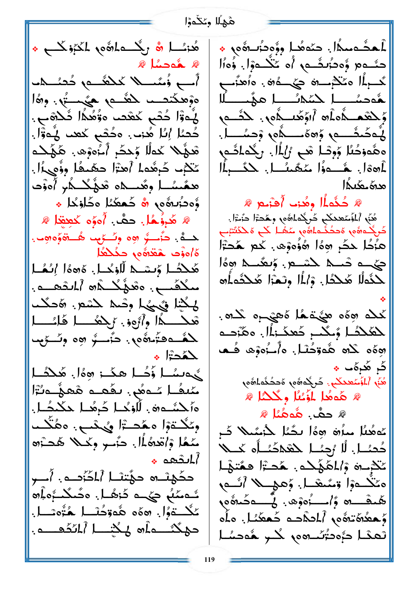ھُنَسُلُ ۞ رِيْنَــما۞ بِاكْبَوْكَبِ ۞ R Lisai R أُمس وُسَّمَسْلاً كَلاَهُسْمِ دُمِنْسِكِينَ ەۋەدكتىسسا لمەئىس ئۇس ۋە لِّءةَا حُثَى كَعْنَفَ وَقُفُدًا ثَكْلَهَبَ. حُصْلَ إِنَّا هُـْنَـ ، وَحُصَّى كَعَنَبَ لِهُوَرًّا . هَوْبُلا كَمِلًا وُحَضٍّ أَخُووْهِ. هَوُكُمْ عَكَبَ حَرِهُما أَهتَرَا حمَّمقًا وؤُوبِدًا. ؤُەدْرُبەھُە ، مُّ ضَعِكْمُا وَخَاوْجُا ﴾ *®* هُروُهُا. حفّ أُووَه كَعِنْقِا *®* ﺪ-ﯔ. ﺣﻨُﻨــُﺮُ ﻭﻩ ﻭﻟُﻨـﺮُ… ﻫُــۊَﻮُﻭﻭﺏ. ة/ەۋْد ھْقْدەُ) دېگىمگا هَٰٓلِكُـٰـا وُبِسْـٰهَ لَّاوَيْـٰـا. هَ۞هُا إِنْـُهَـٰا سڭگىپ. ەتىۋىكىۋە {لمىقھىدە. لمكثا في لها وصْه لحقم. 10كم تَعْكَـــدُا وأَزْوِذٍ. رَجِحْتُــــا كَانُــــا لمُشْــه= دُوْهُوم، حَزْمَــــوْ وە ولَـــوْمِد حَمَّدُ : يُوسُم أَوْصًا هِكَة وَوَالِ هَلَكُمْ الْمُسْتَمِنِينَ مَنْتَقَا عُنْدَهُمْ. تَقْعَلَمْ هُمْهُنُونُوْا ەَ كَشَــە۞ . لَٰاؤْكُــا خَرِهُــا حَكْـحُــا . وِكْتُوْا مِمْحَــٰٓٓا يُحْبَى مَكْنَــٰ مَعْمَا وْاتّْدْهَٰاْلْ. دَّىبْ وْكْمْلَا هَْدَاْرُه لىقھە $\ell$ حكَّهْلُـــه حهَّتْلا ٱلمَّذَّحـــه . أُـــــو شەملە كىمە كەھل. ەگىگلۇەلە كَكْتَوْل. 300 هُەوْدُنْسَا هُزُّەنْسا. 

Lُمثَـٰہمدًا. حمّٰہ ملا وؤوداُنـوہ \* حِنَّــوم وُودُنِكَــو أَو كَتُحـوَلَ. وُوزًا تُكْرِمًا مَنْكُرْمِــةَ ضَــةَةَ. هُمْنَى هُوحِسُنَا لِكَتَكِّتُ لَا هِهُمِنَالًا وَلِحْقَعِمِيقُوءُاهِ أَاوَهُمُسِيقُومٍ. لِحَقَّسِمٍ لْمَحْمَدُّـــهِ وَهُمَـــدُهِ وَحِسُـــا. ەھُەزجُىُّا وُوِتْـا ھَــ رُٰلِىٰاًا. رِكْداخُــە ِ ـأهةا. ـمُـــوزُا مَمْعُـنُـــا. ـكنَــــزِــأَا محرة حكيكا @ حُذُه لُما وهُن، أَهْنُوم @ ِّ هُذَا ٱلْمُتَحَدِّكُم كُرِيْكُمْ لَهُ مِنْ الْمَجْرَأَ الْمَبْتَرَاتِ<br>كُرِيْكُمْ هُ مَا كُمْتُمْ لِمَا هُ مِنْ مَحْمَلِ لَكِنْ مَّا كَكْتُبْتِ هَزُهُا حَجَّرٍ وَوَٰهَا اهُوَّوْهِ مِنْ كَعَرَ هُجَرَّا كهُـــه حْـــــــمْ حَسْــــمْ . وَتَعْبَـــمْ وَهُۚا لِّكُم<sup>ْ</sup>لًا هُلِكُلْ. وْ/أَ! وِتْعْزَا هُلِكُمْلُرْهِ . مگ مسرعة لم ترشه هذه كك لمَعْلَاصُل وُمِكْسٍ حَعِيدًا فِي مَعْزَضِهِ هەَه كە ھُەتِحُلْل. ەآسُرُەوْھ ھُـم كَرِ هُدِهُ \* هُنَّ ٱلزُّمُعددَكَبِ. ضُرِكُه هُم هَدحُدُه اهُم @ هَدمُ**ا لِمَذْنُا وِ كُنْ**ا @ *ه* حفّ هُومُنْ هِ مُعطُمُّا مِعاُرَة وَهَا بِشَمَّا جُنَّمَيْلًا ضَّ دُدسُــا. لَا رُحِسُــا حَقَدَدُــأَه حُــــلا تَلْإِسِهِ وَٱلْمَوْلَاءِ. هُجَرَّا هِمُتَهْلِ ەڭگەۋا قىئىشل. ۆھھىلا آئىم رەۋىئەكسىز . ئۇۋەن ئىستەكتەۋە وَحِعَدُهُ تَوْمَى إِلَىٰ الْمَحْدِدِ حَحِجَدًا. وَلَمْ تَعَمَّا حَزَّەدَتُّسُّەە كُبْر هُەجسَّا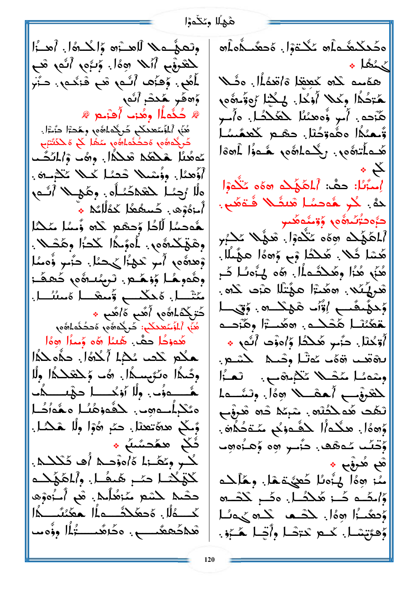وتعدُّے لا لَاهِــْزَهِ وَالْحُــهَا. أَهــزُا لْحَقَّوْفِ أَأَلَمَهُ وَهَٰذًا. وَإِنَّهَا أَنَّهَا قُبْ لَمُعْ . وَقَوْمَ أَنَّمَ مْعَ قَوْمُهِ . حَنَّرَ وُهفَرِ هَدَدْ إِنَّهِ ۖ @ حُذُه أُل وهُذِب أَعْذَبِهِ @ هُنَّهِ ٱلمُؤْسَّعِدَكُم حُرِكُه لِهُمْ وِهَدْ أَوْ دُنْزَا. صَٰكُمهُم مَحَكَّمَاهُم سَفَا ۖ كَم مَكْتَبَ مُەھُىُلْ ھَٰٓكَلُكُمْ مْكِلَال. وِرَى وْٱلْمُكَــَــ أَؤُهْدًا. وِؤُسْمَلًا تَحْمُلُ كَلَّلًا كَلَّةٍ مِنْهِ . هلًا رُحِمًا لِمَعْدَمُمُاًه . وِهَمِيلاً أَنَّـمٍ أَمرْهُوْهِ . كَسفُعُلْ كَمُلْلُكُمْ \* هُوصمُا لَّاحُا وُحِعْمِ ۚ كَاهِ ۚ وَۡسُا مَكَمَا وِهْهْكُمْوُهِ. لَمُوَمِّدُا كَحَزَّا وِهَصْلًا . وْهِدْهُمْ أَسْ تَدْهُزًا يُحِمَّا. حَنَّس وْهِمْمَا وِهُومِمُا وَوْهُـو. تَوِيمُنُّوهِ كَعَفَّۃ مَتْنْسَالِ ەْجْكْسىي ۋْمىغْسال ەمىنىُسال خَرْبُكُمُلَاةُومِ أَهُم هَاهُم \* هُنَّهِ ٱلْمُنْعَطِيِّلِ ۚ خَرِيْدَهُمْ ۚ هَجَجَةً اهُم هُدودًا حقَّ. هَنْدُا هُو وَسَأَلَّ هِوَا هكُم كُتْبَ مُثْبًا أَكْتَفًا. حَقَّ حَكْمًا وِصُّدًا دَنَّهُسِدًا. ۞ وَلِحْقَلَـٰهَا وِلَا ـمُـــــــــووُّد . وِلَّا أَوْكُــــــــــا حـهْــــــــكُ ەڭكېلُـــەھِــى. لكڤەۆھُىُــل ەھُەرُكُــل وَبِكُمْ هِوَيَتَعَمَّلُ. حَيْرٍ وَوَا وِلَا هَكَلَ. دُّكُمْ هُمُحِسَّبٌ ﴾ كُمْرٍ وِمُكْمَرَا هَاهِ وَدَهِ أَفْ كَتَلَكُمْ. كَوّْكْتْمَا حَسّْرٍ هُيفُا. وأَلْمَكْهَكُمْ حصَّه لحشع مُنقُلُه. هُم أُسُوُّوه كَـــــهُلًا . هَحعَكَـدَّـــــملًا حعَمَّنَتَـــــدًا مْلاَحْتَتْشَــــمْ : ەخَلاَثْعَــــــتُّ; أَلَمْ وَوُّەت

ەكككىگەلم ئېتەۋل ەدىگىىدەلم \* الهْدُرٌ همّمه لاه لمعقد واقداماً. وضَلا هَّتْحُكُّا وِكْمَا أَوْكُلْ لِكُنَّا رُوَوُّمُوُّهِ، هَّوْده . أُمر ؤُهِ هُمُمُلُ لِلطَّلاَصُل . ه/ُسْر وَّىمْىٰدًا ەھُەرْدُىْل. دىھىم كىممَىسْل هَدْمَانُتْهُى مِنْ دَهَّاهُى هُدْوًا لْمُعَامَّ إِسْتَطَا: حَتَّ: ٱلْمَكَّلُّكَ 300 مُتَّكَّوَّا حةً . كُم هُوصُلُ هُدَيْنًا ۚ فَقَعُبٍ . |هزٌەھڗُكُنە۞و ﴿وَمَيُوهُمْ } ٱلمَّهَكُمْ هِءَهِ ۚ تَنُّدُوۡلَ ۚ تَعَهُّلاً ۚ تَكْبُر هُسْا ثُلا . هُلْكُا بْنِ رُّههُا عَهُّلًا . هُنَّى هُٰۥٗا وِهُكُنُّـٰه) فَ هُوَ مُؤُولًا كُـرِ مْدِهِّيِّكْدْ. هِمْتْرَا هِهَّتْلَا هِرَى كُلُو. وَحِدُمَشَبِ إِوَّاتٍ هُدَكَ ۞. وَقِيَ ا مقعَّنْنْدا هُدْكُمْ. «هُبْتْوا وِهَّوْدُهُ أَوْكُلُلْ. حَنُّبٍ هُكُمُّا وَاٰوْوُت أَنُّه \* ىۋقىم قۇم ئەتىل وقىلى لىشىم. وشەئىل مىشىلا ئىكرىۋىسى. ئىسۇل لمفتوه أحفلا وهال وتئتما تَكُف هُدَ حُدُثَهِ . سُبِّكُمْ دُه هُدِؤْب وَ«ەەُل. ھڭدەُل كېۋىمۇ كې مَتۆكەھ. وَّقْتُكَ شَمْعَهَا. جَنُّبٍ وَهُ وَهَذُهُوَب  $\hat{\mathbf{c}}$ مُهُ; وَهُ! لَيُوْمَلُ كَعِيْهَ هَا. وِهَأَلَمَهِ وَٱمضَـٰهٖ ضَـٰٓ; مَٰٓضَـٰٓ مَضَـٰٓ ۚ كَنۡصَـٰدِهِ وَحَقَّبَ أَنْهُمْ مَسْتَكَبِّ أَمْرًا وَالْمُسْتَمَرِّ مِنْ الْمُسْتَمَرِّ وُهِبْتِسْلِ. كُــم تْتِتْحا وأَتِّجا هُــُزْو.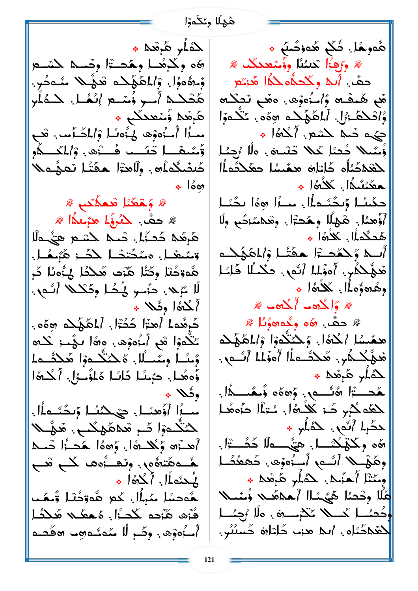هْمِلَا وكْݣُووْا هُومِمًا. ثُكِّ هُوفَصَّعٌ \* | كەلمى ھُرْھُك \* ه ورُدْا تَعِيْنَا وَوَّسْعِيْكُمْ \* هُه وكُرِهُما وهُدَرَّا ودْهِ كَسْمِ حفْ. أَبِي وكُحِدُّه جَدًّا هَٰـٰئِم وًى، وَالْمَلَى مَنْ مَثْلِ مُنْدَوِّبِ. هُحْكِـدْ أُسـرٍ وُسْــع إِنْـهُــا. حَــٰمُلُر ھُم ھُمڤ ۞ وُٱمزُہوٓھ. ہھُم تَعتَّلُه هُرِهُدُ وُسْعِدِكُم ﴾ وُاتْكِكَّرْلِ. ٱلْمَكَّكْبُكُمْ مِهْمْ. كَنْكُمْوْا مَدَّا أَسَّوَدُوهَ لِيَّأْوَكُمْ وَٱلْمَدَّمَدِ. هَي حَمْدِ شَمْ لَمْشُمْ. أَخْذُا \* تَسْمْط دَنَـــــــــــــــ هُــــــــرُو ﴿ الْمَكْـــــكُو ؤُسَّىلا حُصْل كَلا حْتَىـغ . هِلْل رُجِئَـل كَىثَىكْدْ، وْلْمَعْزَا حْفَتُه تْعَذْمَىلَا لِلْعَمْدَمُوْا دَٰاِيَاةَ مِعَسْلِ حِمَدْدُولًا هعَمْنُدُا كَلُدُوا \*  $\cdot$   $\frac{1}{2}$ حكْسًا وُبِحُدُجاً. مِياً وَوَا بِحَيْنَا ه وَحْكَمُا شَعِكْتِبِ \* & حقّ . حَنُروَهُا هرَسَلاً & أَؤُهنُا. هَهْلًا وِهُدْرًا. وِهْدَمْنَوْصٌ وِلًا هُجِدُداُ. لَلأُهُ! \* هُبِعُمْ حُدِّبًا. صَـمْ لهُسْعِ هِيُّحالُ أَسِمْ وَحْكَمَدْ أَلا مَقَتُما وَالْمَوْكَدِ وَسُعْدًا. مِمْحُتِحْما لِلْحُبْ هُرُهُا. هَذُكُمُرٍ. أَهْبُلُمْ أَنُمٍ. حَكْسُلًا فَاسُلُ هُەوٓحُىْل وِحۡتُل هُٓوٓت هَٰلاَحُل لِـزُوىُل کَرٖ edoja (1. *1*/2000) لًا يُرِي. حَنْبِ هُكُمْ وَكَبْلاً أَنُوب. کا کی ایک است کے است کا کہنا أَكْثَا وَثَلاً ﴾ @ حقٌّ. 60 وكُدوهوُنُّا @ حُرِهُـٰه ۖ أَهنَّ الْحَدّْرَا ﴾ [الْمَهْلِكُ وهوَه . تَكْمَوْا هُمْ أَمُّوهُو. وهُا يَهْبَعْ كَلُّهِ همَسُا الْحُدُا. وَحَتَدُوا وَالمَهْدَ مْدَهُكْـدُب. مُكثَّـداً! أَدْوَّلْمَا أَتَّـم، وۡٮُـٰـٰہ ومِنۡــٰلَا ٖ. ہٗـکتُکُــہُوۡا مُحکُــٰہ ا لِّهُلُّرٍ هُبِقُوا \* ؤُەھُل. حَبَسُل كَاسُل مَلَؤُسِوُلِ. أَكْتَمُا هَجَدَ أَنْ الْأَسْبَ وَالْمَوْهِ وَمُسْلَمَالٍ. وثُملاً ﴾ لْمَعْدِيْكِمْ شَعْ كَلْا هُمَّا. سُتَمَّا حَزَّدَهُمْ مسأِل ٱوَّهنا. ۞كمُنا وَبِحُنَّـها!. حَدِّيا أَنَّى جَدْمَ \* كَتْخُورَا كُـرِ مْكَاكَكِكْبِ . مْدُبُّــلا هُه وكُوّْكُمْ لِ هَيُّ هُلَّا دَدُ - أَلَّا. أهنَّ وَكُلُّهُ أَنْ وَرَوْهُ الْمُصَرُّ أَصْلَا وِهَهْكُمْ أَنَّــمِ أَسَرُّهوْمِ . كَـْعَعُدُــا هُــەكْتەُەر. وتصـُّەھ كْـــر قىــر ومَتْنَا أَحْنَمِهِ. حَدْلُهِ هَٰبِقَدْ \* مُحدَّمَ الْمَحْدَهُ الْمُحَمَّدُ هُلًا وحْحِبُا هَيْهُا! أَحْدَهُد وَمُسْلا هُوصِمًا مَنْ أَ. كُمْ هُوَوَجُنَا وُمَعْت فُنْهِ هُنْدَ كَدُرًا. هُ هِعَكِ هَكْدًا لِحْقَدْكُنَاه . ابْدْ هَزْبْ خَايَارَة خَسْئُس. أَسْرُهوْهِ . وَضَرِ لَمْ مَكْمَدُهُ مَنْ مَا مَكْتَبَ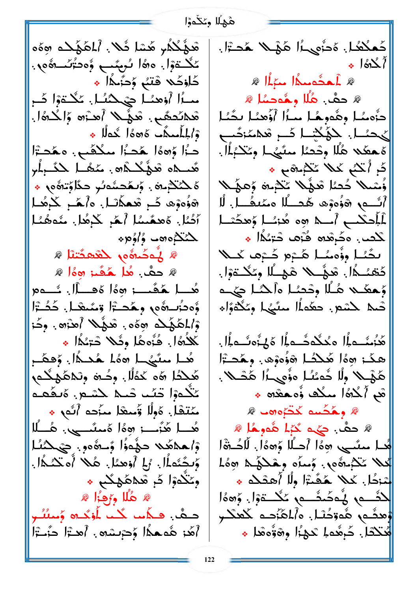هْهْلَا وكْذُوْا

هَؤُكْلُم هُسْا ثُلا . ٱلمَّهْكُ وَهُء ڭگۇل. ەھُ| ئېمَّىب ۋەتتَّىلىھُەب. حَاوْحُد قْتُبُ وُحَنُّدُا ﴾ مىأا أَوْهَنَا ۞كُنَا. كَكْتَوْا كُع هْكْتْݣُمْ، شْهْكْ أُهْتُو وَالْحْدُا. وْاْيْلُمْكُمْ هْجَا ݣُولُا \* حَزًّا وَ90\$ هَجَزًا مِكْفَبٍ. وهَجَرًّا ھُىــە ھُؤْكَــكُە . مَحْمًــا كَــُــبِلُر ەْكْݣُرْمِينْ . وْيْغْشِيقْتْ بْ دْخْلْوْتْتْقْ ، ەۋەۋە كېر قىمكاتار. ەڭگىر كارمىل أَثْنَا. ەَھمَّىسًا أَهَرِ كَرِهُا. مُدَهُنَا  $\mathcal{L}(\mathbf{x})$ ەھە ۋ $\mathbf{x}$ @ décido, caractura **& حقٌّ. هُا هُقُدْ وهُ** ا هُـــا هَقُــــز 16% هَـــاْلِ شَــــه وَّەدُسۇھ رېڭچىرا ۋېڭىشل. كَخْتْرا وٛالمَّهَكُمُ وهُو. مَعِيُّلاً أَهْزَو . وَحَزَ كْلُهُ!. فُنُوعُا وثُلا تْتِبْدًا \* هُــا مِنْيُــا هِمُا هُـُــدًا. وُهمْــ هَٰٓدُکُا هُ٥ کَدُلًا. وِحُـهٖ وِلَـٰهِکُمِگُـڡ تَتْحَوْا جَبِّ حْبَجَ لِحْسَمٍ. وَيَقْعَبُ مَعْتَقَلَ. هُولًا وَّسْعْدَ سَزَحَمٍ أَنَّهَمْ \* ھُـــا ھُنُـــــز ھِھُا ھُـمسُــــيں. ھُـــلَّا وْاعِمْقُدْ حَهْْءَوَٰا وُسِتّْءَوِ. ۞كَيْخْتُلْ وَْىـتَـثَمَاْلِ. }ِلِم أَوْهِـبُلْ. هُـلا أَه نَكْـدُال. وَتَكْوَا مَ هَدْهُهِكُم \* ه هُلا دِرْجُوْا هِ ھىڭ. ھىڭما ئىگىدا ئۇنگىلان قايدىلگىز أَهَٰذٍ هُوَهِمَا وَحَرْبِشَهِ . أَهْـَـٰٓزَا حَزَبَّزَا حَمكْمُا. هُدَّى أَسْرَهُ، هُدْرًا.  $|32\rangle$ & 12 1 kwest & **& حقٌّ. هُلَّا وهُوصِيًا &** دَّوْمُما وِهُومُا مِياْ أَوَّهْدَا بِكَيَا حَمَـٰـا. كَهَكْتِـا كَــِ هَمْمُنتُمْي هَ هَعَد هُلَا وِدْمُا سِنُهُا وِتَدْبُلًا. دٌ اُتْكُمْ كَمَلًا كَتَكْبِيْهُمْ \* وُسْمِلًا حُصْلَ هُؤُلًا تَلْفُتُوهُ وَعَوَّلًا أَنَّـــم هُؤُهوْها هُـصـــُلا ممْنفُـــا. لُا أَبَاٰحِكْبِ أَسْـِهِ هِهِ هُـٰٓنَـٰا وَمِحَمْـَـا ۖ لَكْتُبٍ. وَكَرِثْدُو فُنُوْتَ دَّنْكُمَا ﴾ ۔ بَحَبًا وَوْدِيْنَا جَبْءِ جَبْعِي جَبَلًا كَعْصُــكُا. مْدَيْـــلا مْمِـــلا وكْــْـوْا. وُحفَكِ هُـُلا وِتَحِمُـا هِ أَلَّـا حَيْثَ حْمِهِ حَسْمٍ. حَعَمَلًا سِنَّيْهَا وِتَكْفَوَّا وَ هَٰزُمُـــهِ إِلَّا هَـكُــْهَــهِ إِلَّا هَ لِـزُّهِ نَــهِ إِلَّا بِ هكَ; ٥٥أَ هُلِكُما ۞ُوُووْهِ. وِهُدَرَّا هُهْكُ ولَا خُمْنُنَا مِؤْمِنِدَاْ هَٰتَـكُ . هُم أَكْلُهُ الْمَكُ وَالْمَعْلَاهُ \* @ وهُكُسه كُنْتَمُ٥٣٥ @ ® حقٍّ. حيٍّه كَبَرْ هُدِمُّا ® الله علي 169 أحسًا وُ30. لَاحُــةَ ا كِمْلًا تُكْبُرْتُهُمْ. وُسِلُه وِهْلُكُمْ 10\$ مْنَزْدًا. كَمَلّا هُفّْتْزًا وِلًا أُهفَكُمْ \* اَهُمْ ﴾ وَحَدَّـــم مِـتَّـــتَهُوا. وَمِعَا أوهضُم هُوَوَحُبْل. ه/اهْزَمه للعكب لْعَنْكُمْلِ. حُرِهُدم! تَحِهْزُا وِرْهُوْهِهَا \*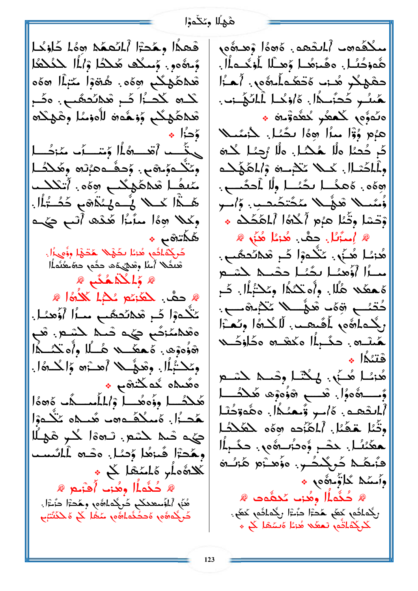فَعِمًا وِهَجَرَا ٱلْمُكْهَرِ وَوَٰءًا خَاوَىٰنَا وَّ-شَعْوِ. وَسَكْفَ هَٰـكَـٰدًا وۡ/مَّا ۖ كَـٰفَـكَـٰفَا هُدْهُدْكُمْ وَهُو. هُوْوْا مُبْرَأَا هَهُو كُد كُحِبًّا ضَرِ مْكَلَّحْقَىبٍ. وضَرِ مْدْهُدْكُمْ، وُوْحُدْهْ لِأُدْوْسُا وْعْدِيْدُه وۡدُوا ﴾ حِبُّبُ أَقْفَ وَالْمُسْتَمَرَ مِنْ الْمُسْتَمَرَّةِ مِنْ الْمَسْتَمَرَّةِ مِنْ الْمَسْتَمَرَّةِ مِنْ وِكْلُـەوۡـەن وَ دِهۡــەمۡـُرْتُه وِهَٰـلاَصُــا سِّيفًا مْدْهَٰدْكُمْ ، وْهُو. أَتْݣَلْفْ ِ الْمَحْدُ بِـهَمْنُوَمِـنُ / كَـدُ الْمَــهُ وكملا هِمَا سَنَّنَا هُدْهِ أَنْبِ دَيْء هَكَتهُم \*<br>حُرجٌهُكُوه هُنا تكَهْلا هَتَهْا وَوُوحاً!. هْدَهُلا أَمِنًا وِهْلِيَهُ هَ حَثَمٍ حَمَّمَتُوا الْمُتَعَاَّ & ziakilj ه حقّ حكّ مكّ عنه من الله عنه الله كَنْدَوْا كَمِ شَدْنَحْقَى مِدَٰا أَؤُهْدَا. ەھْكىمْنْدَكَى كَى شىكا لاشىغ. ھَى رْهُؤُوڤُمْ. هُجْعَبْ هُـِبُلَا وِأَوْخَلْتُكُمُّ وبُكْتُرَلًا. وِتَعِيثُكُمْ أَهْدَاهِ وَالْحُكْفَا. ەھُىمە ئەڭتەم . هُكْشًا وِوَّەھُــا وْالملَّىـــكُ وَاەە هَدءُ∫. ەَمىڭگەھە ھُىلەە ئىْلەۋا كَيْمَ شَمْ لِكَسْمَ. تَـهِوْا لَكُـمٍ هُمْلًا وِهۡحَـٰٓۃٗا قُـٰۂھُا وۡحِـُـٰا ٖ. ہحۡـہ لَمانُـُـســ كَلَاةُ مِلْمٍ مُلْمَنْهَا ﴾ \* @ حُذُه أَل وهُن، أَعْنُبِهِ @ هُنَّهٖ ٱلمُوَّسِعِدِكُم كُرِيْكُماهُو وِهُجَّا جَنُّتَا۔<br>كَرِيْكُم*ُوْو وَحَجَّدُهاهُو مَعْمَّا* كُلِّ هَكَتُتَبِع

مىڭگەھە آلمىشقە . كەھگا ۋىدىۋە هُودُنُــا . وفَــزهُـــا وُهـــْلا لِمُوْجُــولاً . حڤۿۣػٚڔۿؘڹۦۄٞڎۿؘڡڵڡۿ۫ٯڔ؞ؚڷؙٚڡٵؙ هَْسُو حُدَّمْــدًا. هَ/وْكُــلْ لْمَلْكَنْ—نف. ەلگەۋەر كەھكىر ئىگەۋمە \* هَزُمْ وَوْٓا مِدًا هِهَا بِحَبَا. جَمْعَيْهِ كَرِ حُحِبًا هِلًا ـهُـكَـلَ. هِلًا رُجِبًـل لَحْـفِ ولْمَلْحَسَالِ. كَمِلا كَتْرْسِيرْه وْالْمَذْكَبِكُمْ وەَه . ەَهْكُىل بِحُبُيل ولَّا لْمُحَمَّىبِ . ؤُسَّىـــلا قَدْئُـــلا مُنْحَّتكُــْتــب. وَّاسو وْحْسًا وتّْدًا هزْم أَكْلاهُ! أَلْمَكُكُ \* **الا إِسْزُلُلْ. حِقْ. هُزِيْلِ هُنِّي ١٤** هُزئا هُنِّي. كَنْدَوْا كُرِ هَٰدَنُدهُبِي. مسأا أؤهنا بحُنا حصْبِه حَسْم هُحفَك هُلُا. وإُهتكمُا وِحْثَبُلَا. كَـر دُقئے قِوَّمہ مُحقُّـــالا کُنْکُرِ۔ مُـــــــو . رِكْماهُورٍ لِمُقْتَحِبٍ. لَا كُلُّهُ! وِنُعَبَّرَا هُسْده . حَكَــرِمَا مَكْتَــده مَحَاوْحَـــد قتىكا ھ هُنسًا هُــَن، لِمحْتَـا وِصْــه لِمَسْــم وُٓ؎ۿؘ٥ۏؙۭٳ. ۛۿٮؠ؋ۿۏؙ٥ۉۭۿ؋ڴڂڞؙڶ ٱلملتَّحْف، ݣَٱسِرِ وُّسْعَنْكُمْلْ. وهُوَوَّصْلَا وتُمُا هَفَمُا. ٱلمَّنَّدِه وَهُو كَعَكْدًا هعَنْتُ]. حصْرِ وُودُسِدُوب. حكَرِمُا فَنْضُكُمْ خُرِجُدْخُسٍ. وَوَُهِنْتُوا هَٰزَلَنفَ وأسلم كَمَاؤُ مِثْمَى \* & حُثَم*اً\ و*هُن مُدهُّدت & . بِكَمَادُمِ كَعَمَ مَعْدَّا حَبْتَ الْمَحْمَدِ مِكْمَادَ بِكَمَادَ مِنْ لَّكَرِيْكُمُلَقُّورَ مَعَكِنَا مُنْ مَا وَسَيْعَا لَكَلْ مَا